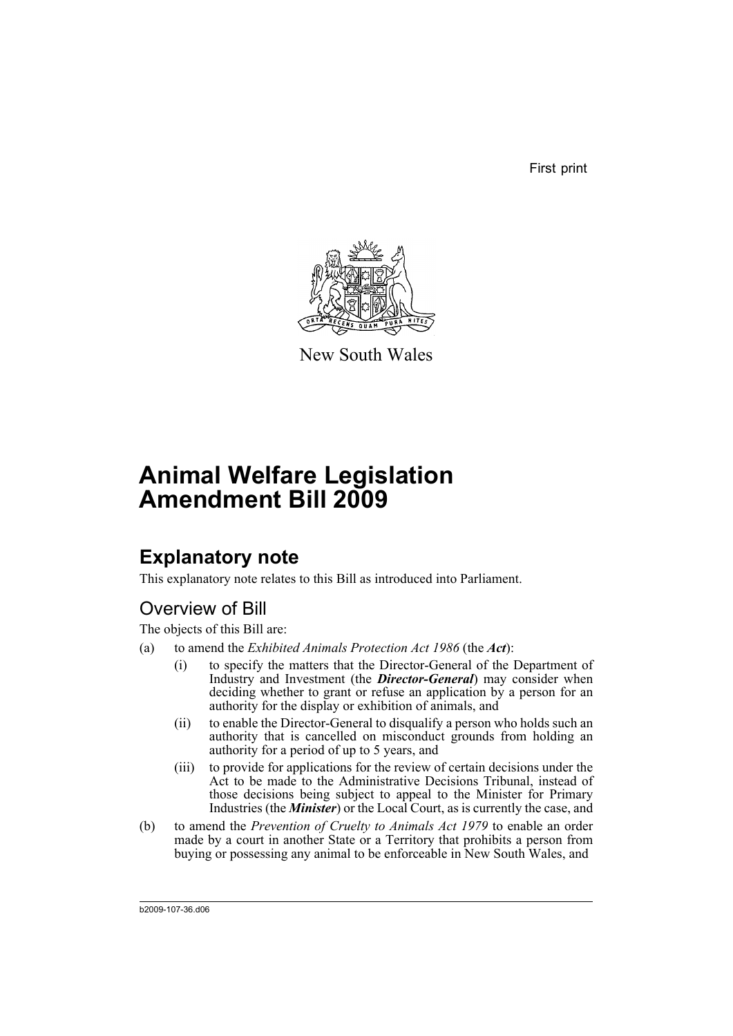First print



New South Wales

# **Animal Welfare Legislation Amendment Bill 2009**

# **Explanatory note**

This explanatory note relates to this Bill as introduced into Parliament.

## Overview of Bill

The objects of this Bill are:

- (a) to amend the *Exhibited Animals Protection Act 1986* (the *Act*):
	- (i) to specify the matters that the Director-General of the Department of Industry and Investment (the *Director-General*) may consider when deciding whether to grant or refuse an application by a person for an authority for the display or exhibition of animals, and
	- (ii) to enable the Director-General to disqualify a person who holds such an authority that is cancelled on misconduct grounds from holding an authority for a period of up to 5 years, and
	- (iii) to provide for applications for the review of certain decisions under the Act to be made to the Administrative Decisions Tribunal, instead of those decisions being subject to appeal to the Minister for Primary Industries (the *Minister*) or the Local Court, as is currently the case, and
- (b) to amend the *Prevention of Cruelty to Animals Act 1979* to enable an order made by a court in another State or a Territory that prohibits a person from buying or possessing any animal to be enforceable in New South Wales, and

b2009-107-36.d06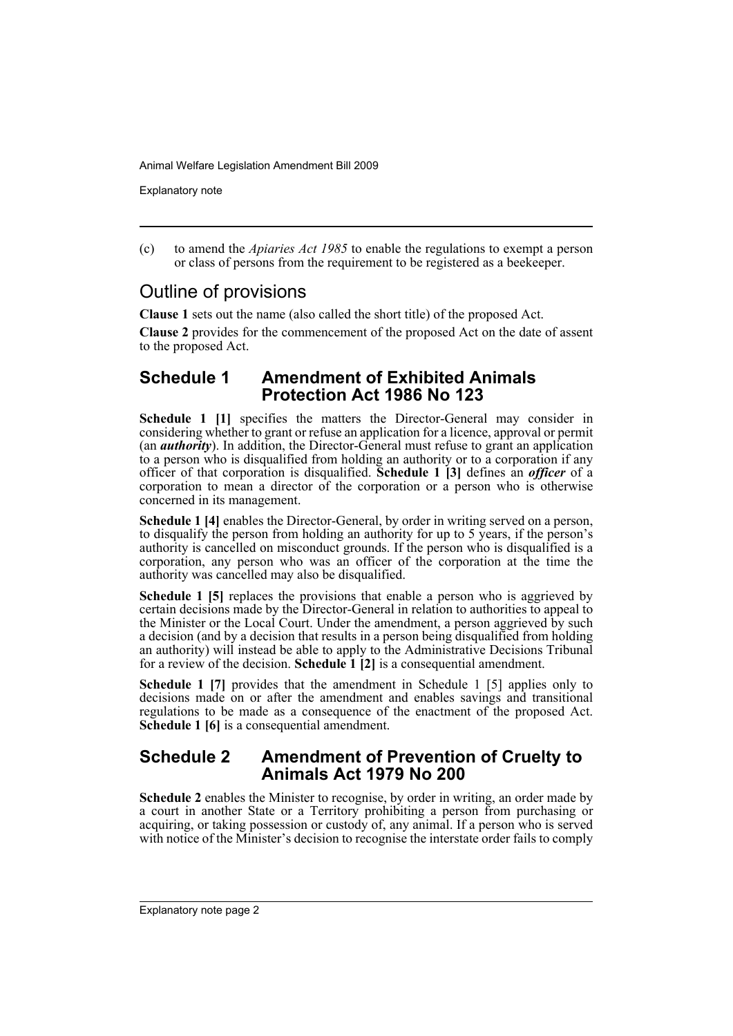Explanatory note

(c) to amend the *Apiaries Act 1985* to enable the regulations to exempt a person or class of persons from the requirement to be registered as a beekeeper.

## Outline of provisions

**Clause 1** sets out the name (also called the short title) of the proposed Act.

**Clause 2** provides for the commencement of the proposed Act on the date of assent to the proposed Act.

## **Schedule 1 Amendment of Exhibited Animals Protection Act 1986 No 123**

**Schedule 1 [1]** specifies the matters the Director-General may consider in considering whether to grant or refuse an application for a licence, approval or permit (an *authority*). In addition, the Director-General must refuse to grant an application to a person who is disqualified from holding an authority or to a corporation if any officer of that corporation is disqualified. **Schedule 1 [3]** defines an *officer* of a corporation to mean a director of the corporation or a person who is otherwise concerned in its management.

**Schedule 1 [4]** enables the Director-General, by order in writing served on a person, to disqualify the person from holding an authority for up to 5 years, if the person's authority is cancelled on misconduct grounds. If the person who is disqualified is a corporation, any person who was an officer of the corporation at the time the authority was cancelled may also be disqualified.

**Schedule 1 [5]** replaces the provisions that enable a person who is aggrieved by certain decisions made by the Director-General in relation to authorities to appeal to the Minister or the Local Court. Under the amendment, a person aggrieved by such a decision (and by a decision that results in a person being disqualified from holding an authority) will instead be able to apply to the Administrative Decisions Tribunal for a review of the decision. **Schedule 1 [2]** is a consequential amendment.

**Schedule 1 [7]** provides that the amendment in Schedule 1 [5] applies only to decisions made on or after the amendment and enables savings and transitional regulations to be made as a consequence of the enactment of the proposed Act. **Schedule 1 [6]** is a consequential amendment.

## **Schedule 2 Amendment of Prevention of Cruelty to Animals Act 1979 No 200**

**Schedule 2** enables the Minister to recognise, by order in writing, an order made by a court in another State or a Territory prohibiting a person from purchasing or acquiring, or taking possession or custody of, any animal. If a person who is served with notice of the Minister's decision to recognise the interstate order fails to comply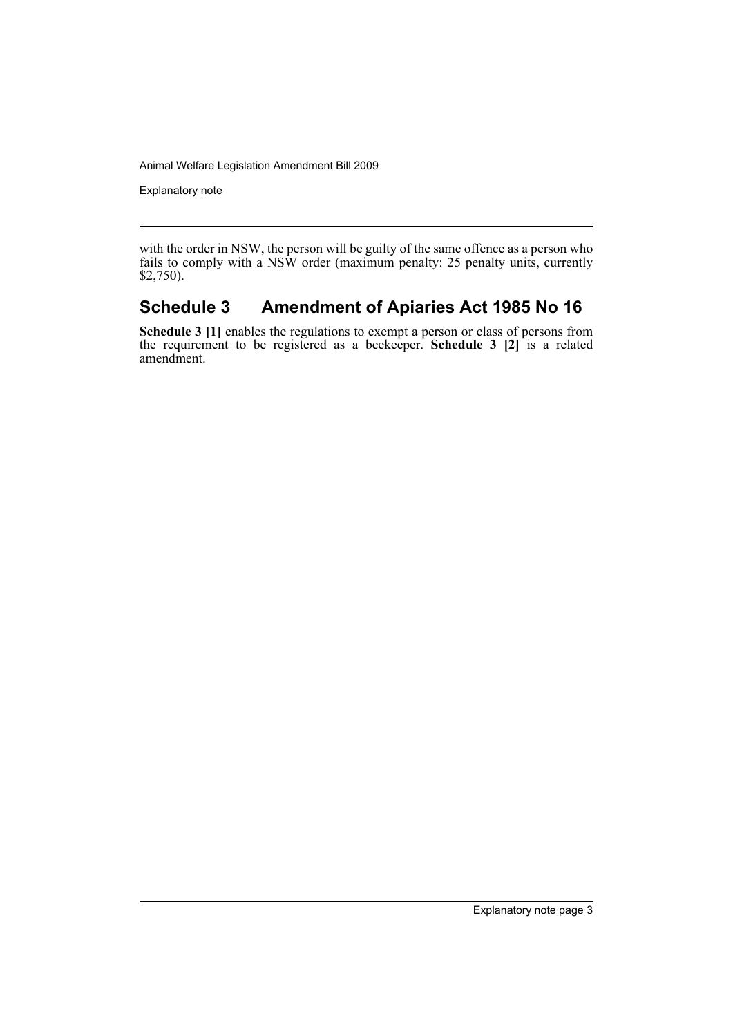Explanatory note

with the order in NSW, the person will be guilty of the same offence as a person who fails to comply with a NSW order (maximum penalty: 25 penalty units, currently \$2,750).

## **Schedule 3 Amendment of Apiaries Act 1985 No 16**

**Schedule 3 [1]** enables the regulations to exempt a person or class of persons from the requirement to be registered as a beekeeper. **Schedule 3 [2]** is a related amendment.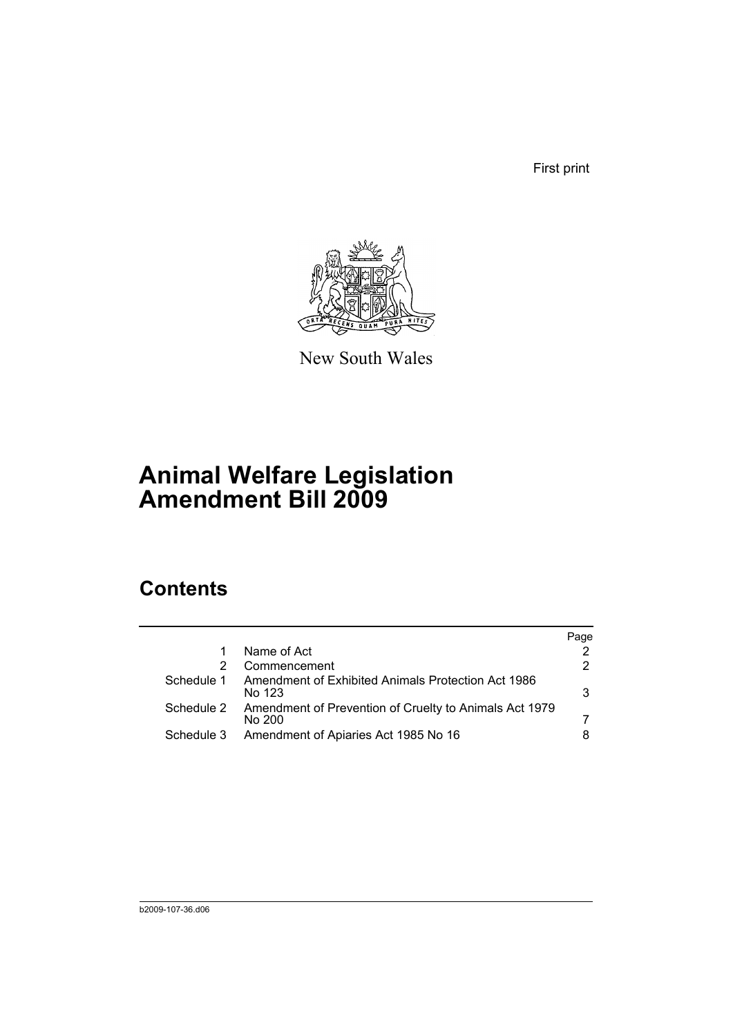First print



New South Wales

# **Animal Welfare Legislation Amendment Bill 2009**

# **Contents**

|            |                                                                  | Page |
|------------|------------------------------------------------------------------|------|
|            | Name of Act                                                      | 2    |
|            | Commencement                                                     | 2    |
| Schedule 1 | Amendment of Exhibited Animals Protection Act 1986<br>No 123     | 3    |
| Schedule 2 | Amendment of Prevention of Cruelty to Animals Act 1979<br>No 200 |      |
| Schedule 3 | Amendment of Apiaries Act 1985 No 16                             | 8    |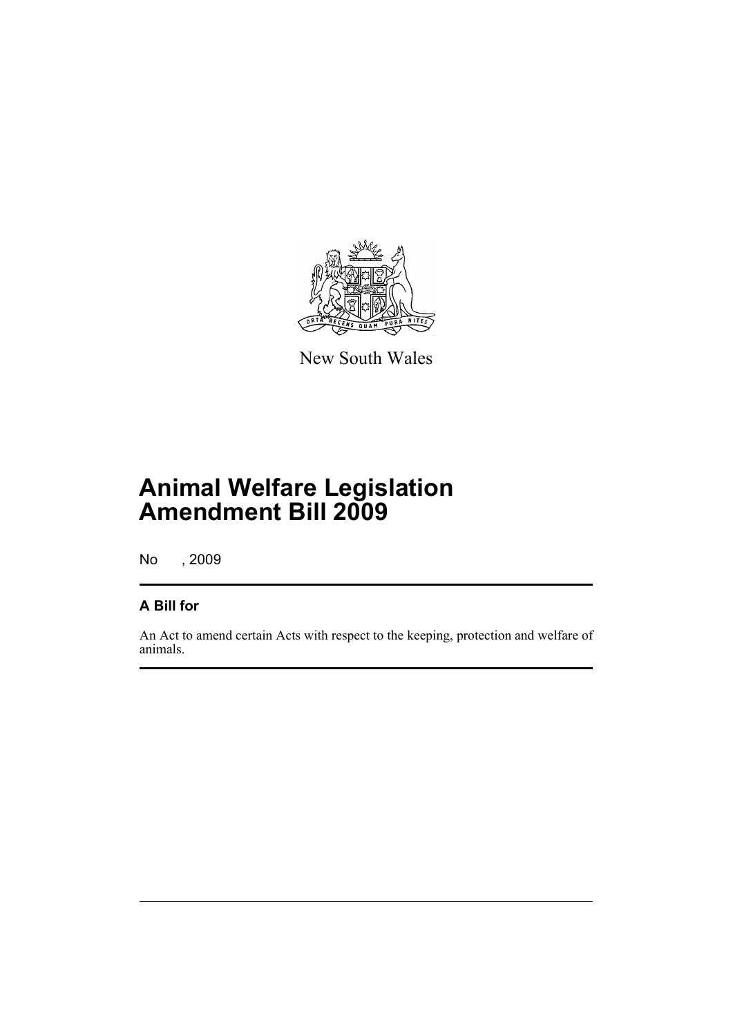

New South Wales

# **Animal Welfare Legislation Amendment Bill 2009**

No , 2009

## **A Bill for**

An Act to amend certain Acts with respect to the keeping, protection and welfare of animals.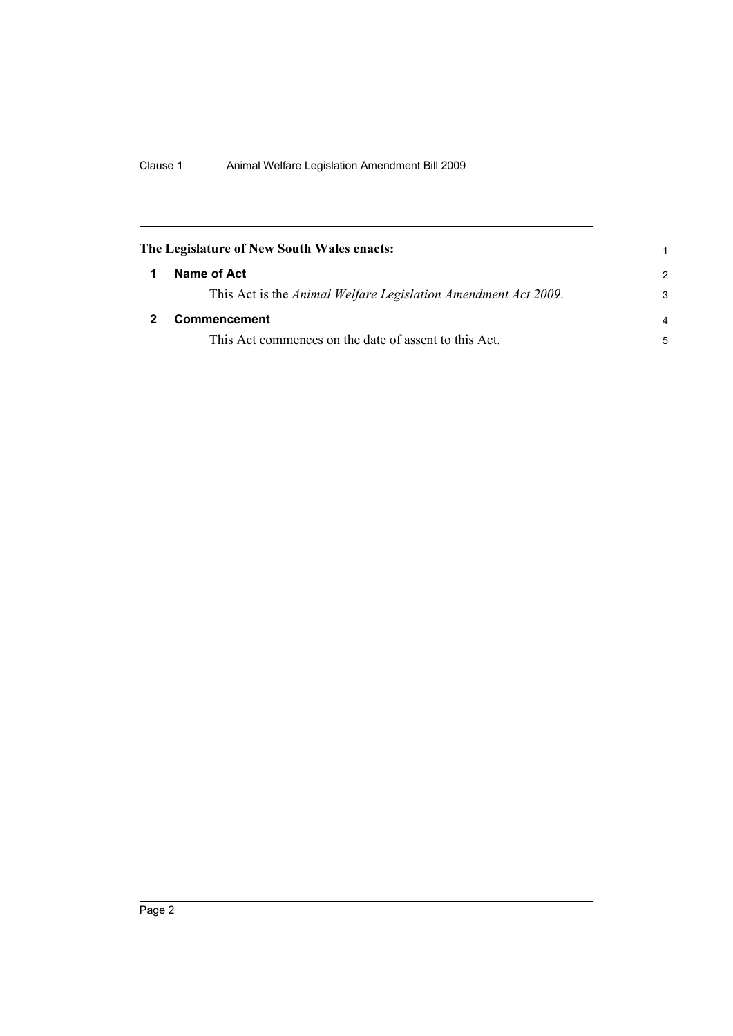<span id="page-7-1"></span><span id="page-7-0"></span>

| The Legislature of New South Wales enacts: |                                                                |                |
|--------------------------------------------|----------------------------------------------------------------|----------------|
|                                            | Name of Act                                                    | $\mathcal{P}$  |
|                                            | This Act is the Animal Welfare Legislation Amendment Act 2009. | 3              |
|                                            | <b>Commencement</b>                                            | $\overline{a}$ |
|                                            | This Act commences on the date of assent to this Act.          | 5              |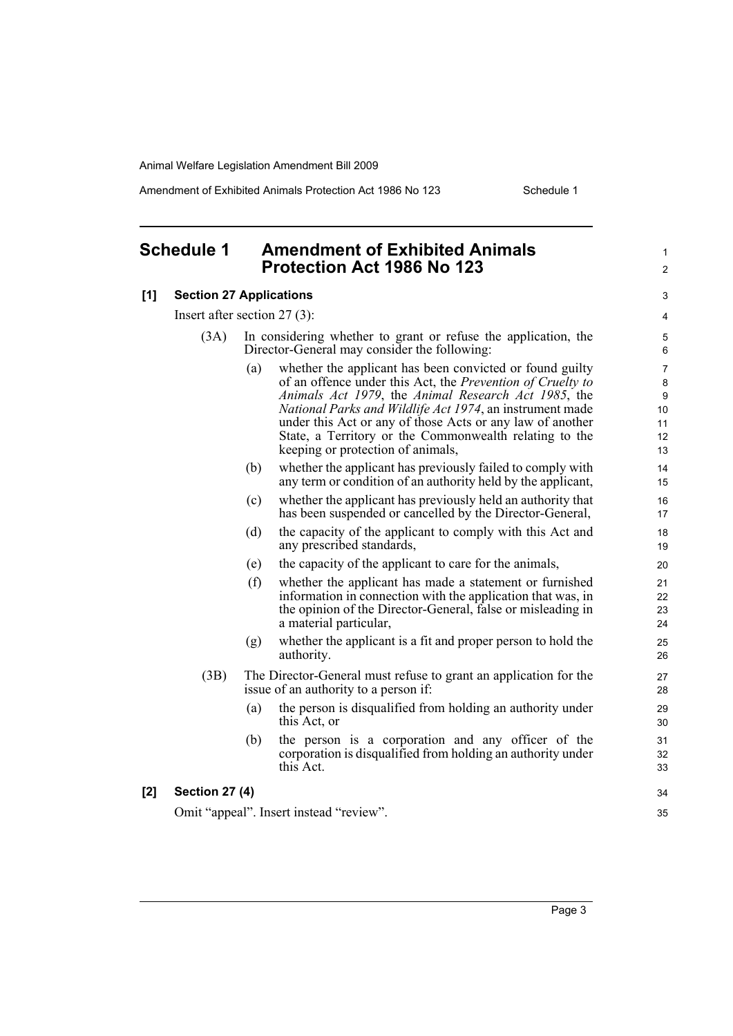Amendment of Exhibited Animals Protection Act 1986 No 123 Schedule 1

1  $\mathfrak{p}$ 

### <span id="page-8-0"></span>**Schedule 1 Amendment of Exhibited Animals Protection Act 1986 No 123**

#### **[1] Section 27 Applications**

Insert after section 27 (3):

| (3A) | In considering whether to grant or refuse the application, the |
|------|----------------------------------------------------------------|
|      | Director-General may consider the following:                   |

- (a) whether the applicant has been convicted or found guilty of an offence under this Act, the *Prevention of Cruelty to Animals Act 1979*, the *Animal Research Act 1985*, the *National Parks and Wildlife Act 1974*, an instrument made under this Act or any of those Acts or any law of another State, a Territory or the Commonwealth relating to the keeping or protection of animals,
- (b) whether the applicant has previously failed to comply with any term or condition of an authority held by the applicant,
- (c) whether the applicant has previously held an authority that has been suspended or cancelled by the Director-General,
- (d) the capacity of the applicant to comply with this Act and any prescribed standards,
- (e) the capacity of the applicant to care for the animals,
- (f) whether the applicant has made a statement or furnished information in connection with the application that was, in the opinion of the Director-General, false or misleading in a material particular,
- (g) whether the applicant is a fit and proper person to hold the authority.
- (3B) The Director-General must refuse to grant an application for the issue of an authority to a person if:
	- (a) the person is disqualified from holding an authority under this Act, or
	- (b) the person is a corporation and any officer of the corporation is disqualified from holding an authority under this Act.

#### **[2] Section 27 (4)**

Omit "appeal". Insert instead "review".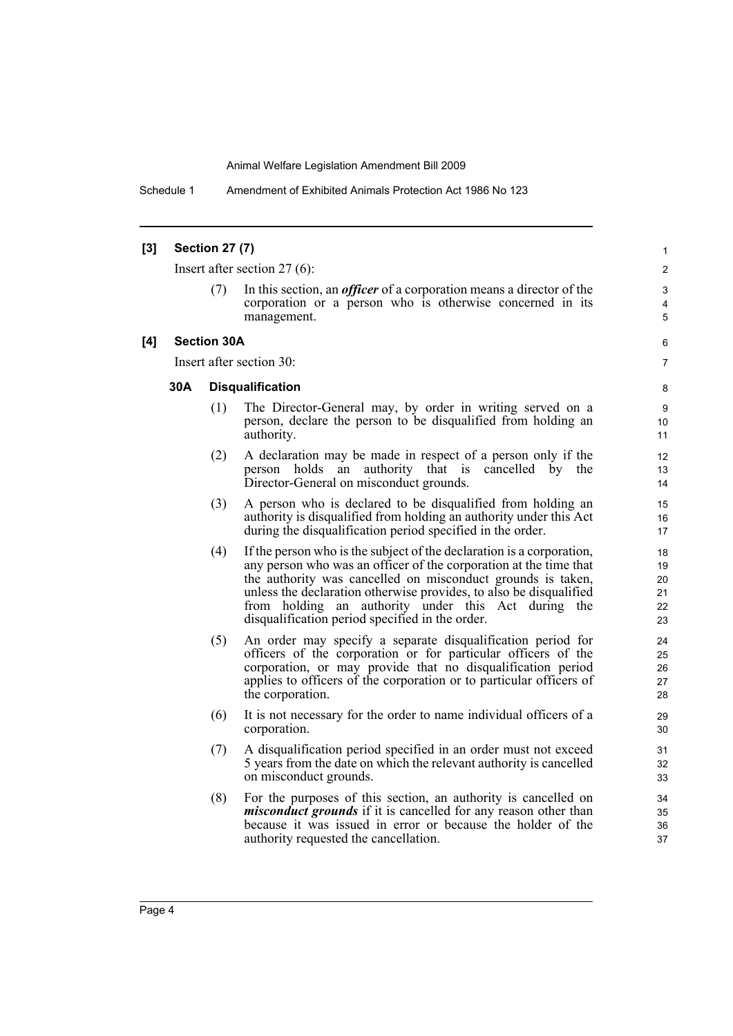Schedule 1 Amendment of Exhibited Animals Protection Act 1986 No 123

#### **[3] Section 27 (7)**

Insert after section 27 (6):

In this section, an *officer* of a corporation means a director of the corporation or a person who is otherwise concerned in its management.

#### **[4] Section 30A**

Insert after section 30:

#### **30A Disqualification**

- (1) The Director-General may, by order in writing served on a person, declare the person to be disqualified from holding an authority.
- (2) A declaration may be made in respect of a person only if the person holds an authority that is cancelled by the Director-General on misconduct grounds.
- (3) A person who is declared to be disqualified from holding an authority is disqualified from holding an authority under this Act during the disqualification period specified in the order.
- (4) If the person who is the subject of the declaration is a corporation, any person who was an officer of the corporation at the time that the authority was cancelled on misconduct grounds is taken, unless the declaration otherwise provides, to also be disqualified from holding an authority under this Act during the disqualification period specified in the order.
- (5) An order may specify a separate disqualification period for officers of the corporation or for particular officers of the corporation, or may provide that no disqualification period applies to officers of the corporation or to particular officers of the corporation.
- (6) It is not necessary for the order to name individual officers of a corporation.
- (7) A disqualification period specified in an order must not exceed 5 years from the date on which the relevant authority is cancelled on misconduct grounds.
- (8) For the purposes of this section, an authority is cancelled on *misconduct grounds* if it is cancelled for any reason other than because it was issued in error or because the holder of the authority requested the cancellation.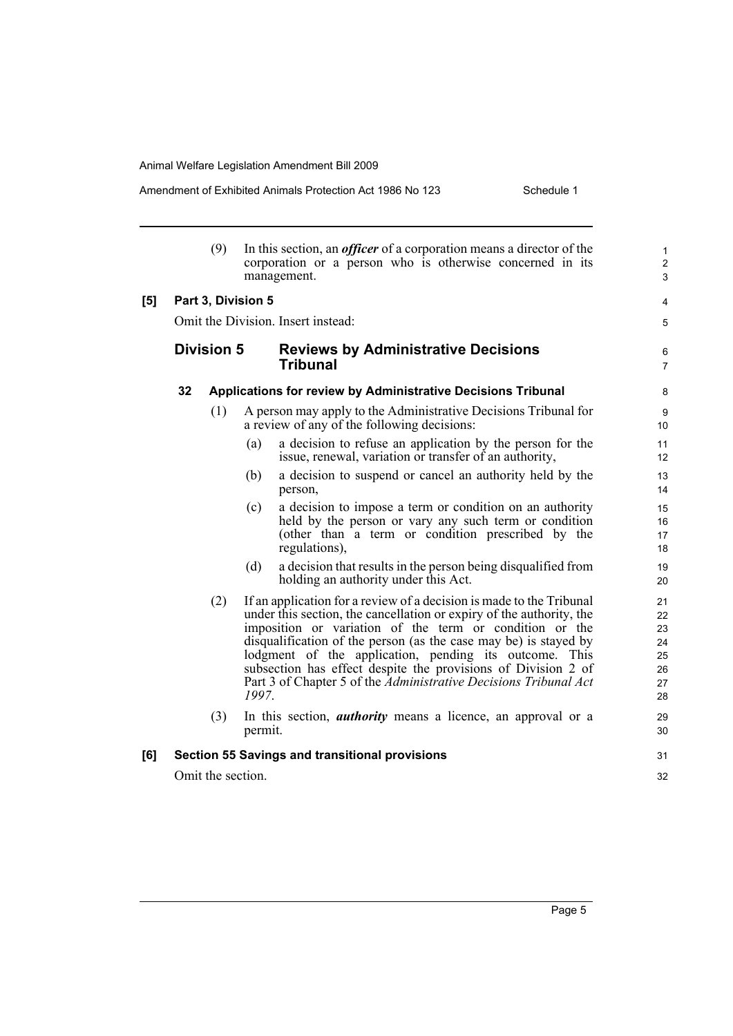Amendment of Exhibited Animals Protection Act 1986 No 123 Schedule 1

|     |                                    | (9)               |         | In this section, an <i>officer</i> of a corporation means a director of the<br>corporation or a person who is otherwise concerned in its<br>management.                                                                                                                                                                                                                                                                                                                    | 1<br>$\overline{2}$<br>3 |  |  |
|-----|------------------------------------|-------------------|---------|----------------------------------------------------------------------------------------------------------------------------------------------------------------------------------------------------------------------------------------------------------------------------------------------------------------------------------------------------------------------------------------------------------------------------------------------------------------------------|--------------------------|--|--|
| [5] | Part 3, Division 5                 |                   |         |                                                                                                                                                                                                                                                                                                                                                                                                                                                                            |                          |  |  |
|     | Omit the Division. Insert instead: |                   |         |                                                                                                                                                                                                                                                                                                                                                                                                                                                                            |                          |  |  |
|     |                                    | <b>Division 5</b> |         | <b>Reviews by Administrative Decisions</b><br><b>Tribunal</b>                                                                                                                                                                                                                                                                                                                                                                                                              | 6<br>7                   |  |  |
|     | 32                                 |                   |         | Applications for review by Administrative Decisions Tribunal                                                                                                                                                                                                                                                                                                                                                                                                               | 8                        |  |  |
|     |                                    | (1)               |         | A person may apply to the Administrative Decisions Tribunal for<br>a review of any of the following decisions:                                                                                                                                                                                                                                                                                                                                                             | 9<br>10                  |  |  |
|     |                                    |                   | (a)     | a decision to refuse an application by the person for the<br>issue, renewal, variation or transfer of an authority,                                                                                                                                                                                                                                                                                                                                                        | 11<br>12                 |  |  |
|     |                                    |                   | (b)     | a decision to suspend or cancel an authority held by the<br>person,                                                                                                                                                                                                                                                                                                                                                                                                        | 13<br>14                 |  |  |
|     |                                    |                   | (c)     | a decision to impose a term or condition on an authority<br>held by the person or vary any such term or condition<br>(other than a term or condition prescribed by the<br>regulations),                                                                                                                                                                                                                                                                                    | 15<br>16<br>17<br>18     |  |  |
|     |                                    |                   | (d)     | a decision that results in the person being disqualified from<br>holding an authority under this Act.                                                                                                                                                                                                                                                                                                                                                                      | 19<br>20                 |  |  |
|     |                                    | (2)               | 1997.   | If an application for a review of a decision is made to the Tribunal<br>under this section, the cancellation or expiry of the authority, the<br>imposition or variation of the term or condition or the<br>disqualification of the person (as the case may be) is stayed by<br>lodgment of the application, pending its outcome. This<br>subsection has effect despite the provisions of Division 2 of<br>Part 3 of Chapter 5 of the Administrative Decisions Tribunal Act |                          |  |  |
|     |                                    | (3)               | permit. | In this section, <i>authority</i> means a licence, an approval or a                                                                                                                                                                                                                                                                                                                                                                                                        | 29<br>30                 |  |  |
| [6] |                                    |                   |         | <b>Section 55 Savings and transitional provisions</b>                                                                                                                                                                                                                                                                                                                                                                                                                      | 31                       |  |  |
|     |                                    | Omit the section. |         |                                                                                                                                                                                                                                                                                                                                                                                                                                                                            | 32                       |  |  |
|     |                                    |                   |         |                                                                                                                                                                                                                                                                                                                                                                                                                                                                            |                          |  |  |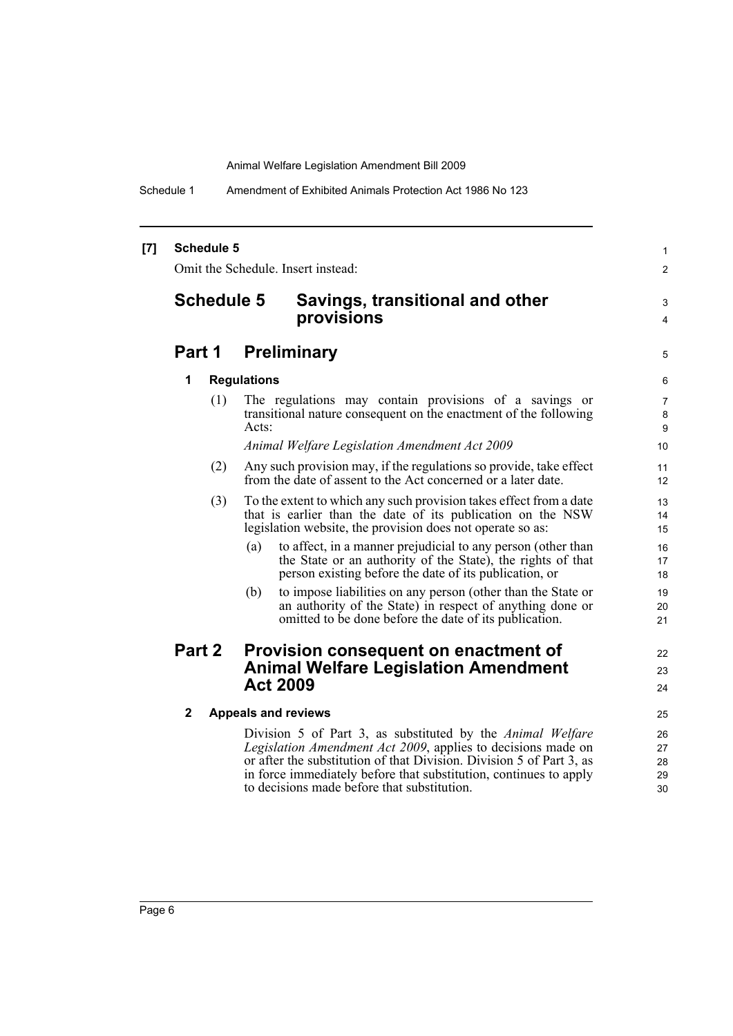Schedule 1 Amendment of Exhibited Animals Protection Act 1986 No 123

#### **[7] Schedule 5**

Omit the Schedule. Insert instead:

## **Schedule 5 Savings, transitional and other provisions**

## **Part 1 Preliminary**

#### **1 Regulations**

(1) The regulations may contain provisions of a savings or transitional nature consequent on the enactment of the following Acts:

1  $\mathfrak{p}$ 

3 4

5

22 23 24

*Animal Welfare Legislation Amendment Act 2009*

- (2) Any such provision may, if the regulations so provide, take effect from the date of assent to the Act concerned or a later date.
- (3) To the extent to which any such provision takes effect from a date that is earlier than the date of its publication on the NSW legislation website, the provision does not operate so as:
	- (a) to affect, in a manner prejudicial to any person (other than the State or an authority of the State), the rights of that person existing before the date of its publication, or
	- (b) to impose liabilities on any person (other than the State or an authority of the State) in respect of anything done or omitted to be done before the date of its publication.

### **Part 2 Provision consequent on enactment of Animal Welfare Legislation Amendment Act 2009**

#### **2 Appeals and reviews**

Division 5 of Part 3, as substituted by the *Animal Welfare Legislation Amendment Act 2009*, applies to decisions made on or after the substitution of that Division. Division 5 of Part 3, as in force immediately before that substitution, continues to apply to decisions made before that substitution.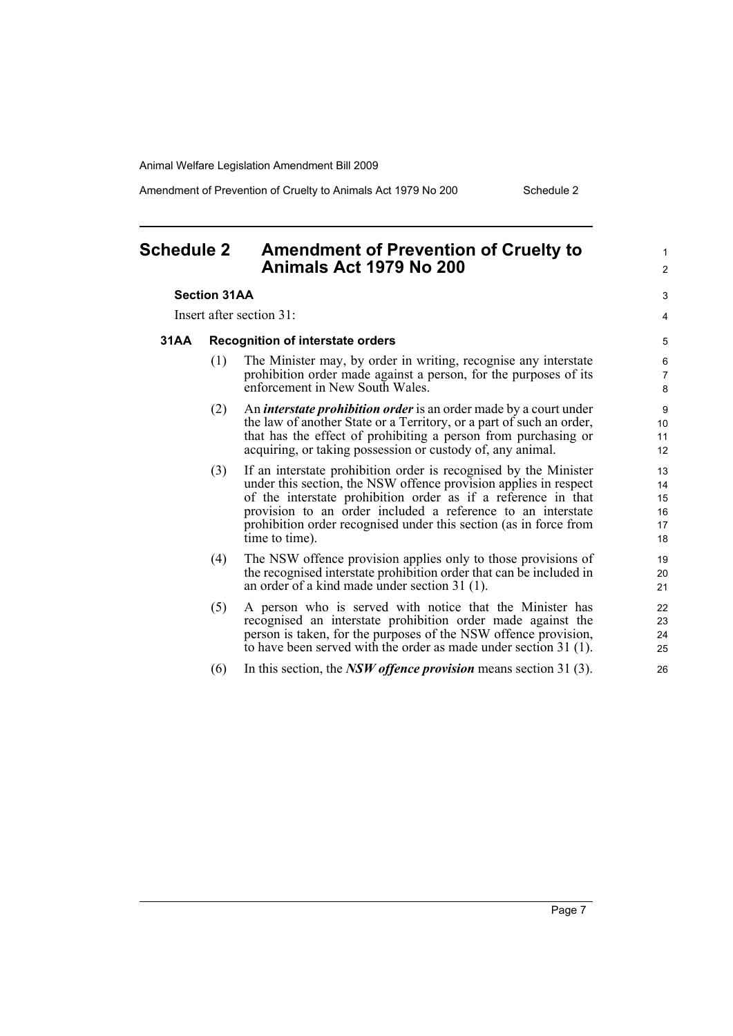Amendment of Prevention of Cruelty to Animals Act 1979 No 200 Schedule 2

1  $\mathfrak{p}$ 

 $\overline{a}$ 4

## <span id="page-12-0"></span>**Schedule 2 Amendment of Prevention of Cruelty to Animals Act 1979 No 200**

#### **Section 31AA**

Insert after section 31:

#### **31AA Recognition of interstate orders**

- (1) The Minister may, by order in writing, recognise any interstate prohibition order made against a person, for the purposes of its enforcement in New South Wales.
- (2) An *interstate prohibition order* is an order made by a court under the law of another State or a Territory, or a part of such an order, that has the effect of prohibiting a person from purchasing or acquiring, or taking possession or custody of, any animal.
- (3) If an interstate prohibition order is recognised by the Minister under this section, the NSW offence provision applies in respect of the interstate prohibition order as if a reference in that provision to an order included a reference to an interstate prohibition order recognised under this section (as in force from time to time).
- (4) The NSW offence provision applies only to those provisions of the recognised interstate prohibition order that can be included in an order of a kind made under section 31 (1).
- (5) A person who is served with notice that the Minister has recognised an interstate prohibition order made against the person is taken, for the purposes of the NSW offence provision, to have been served with the order as made under section 31 (1).
- (6) In this section, the *NSW offence provision* means section 31 (3).